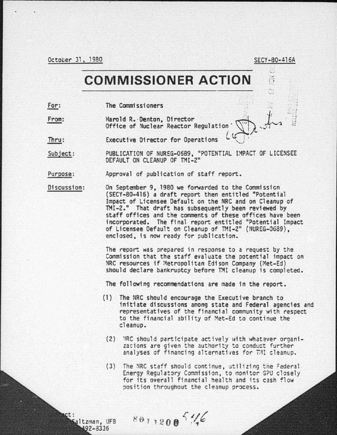October 31, 1980 SECY-80-416A

<sup>~</sup>J

## **COMMISSIONER ACTION**

For: The Commissioners . .

> altzman, UFB 492-8336

From: The Commissioners<br>Harold R. Denton, Director<br>Office of Nuclear Reactor Regulation  $\begin{pmatrix} 1 & 1 & \cdots & 1 \\ 0 & 1 & \cdots & 1 \\ 0 & 0 & 1 & \cdots & 1 \end{pmatrix}$  $\lambda$ 

Thru: Executive Director for Operations

Subject: PUBLICATION OF NUREG-0689, "POTENTIAL IMPACT OF LICENSEE DEFAULT ON CLEANUP OF TMI-2"

Purpose: Approval of publication of staff report.

Discussion: On September 9, 1980 we forwarded to the Commission (SECY-80-416) a draft report then entitled "Potential Impact of Licensee Default on the NRC and on Cleanup of TMI-2." That draft has subsequently been reviewed by staff offices and the comments of these offices have been of Licensee Default on Cleanup of TMI-2" (NUREG-0689),<br>enclosed, is now ready for publication.

> The report was prepared in response to a request by the Commission that the staff evaluate the potential impact on<br>NRC resources if Metropolitan Edison Company (Met-Ed) should declare bankruptcy before TMI cleanup is completed.

The following recommendations are made in the report.

- (1) The NRC should encourage the Executive branch to initiate discussions among state and Federal agencies and representatives of the financial community with respect to the financial ability of Met-Ed to continue the cleanup.
	- (2) 'IRC should participate actively \'lith whatever organizations are given the authority to conduct further analyses of financing alternatives for TMI cleanup.
	- (3) The NRC staff should continue, utilizing the Federal Energy Regulatory Commission, to monitor G?U closely for its overall financial health and its cash flow position throughout the cleanup process.

 $8011200$ <sup>5</sup>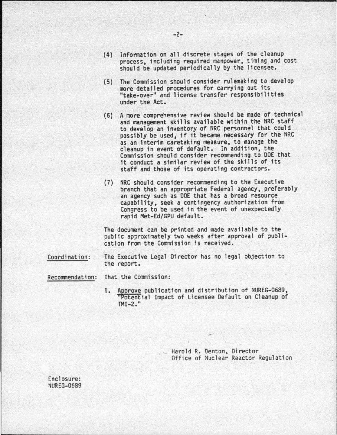- (4) Information on all discrete stages of the cleanup process, including required manpower, timing and cost should be updated periodically by the licensee.
- (5) The Commission should consider rulemaking to develop more detailed procedures for carrying out its •take-over" and license transfer responsibilities under the Act.
- (6) A more comprehensive review should be made of technical and management skills available within the NRC staff to develop an inventory of NRC personnel that could possibly be used, if it became necessary for the NRC as an interim caretaking measure, to manage the cleanup in event of default. In addition, the Commission should consider recommending to DOE that it conduct a similar review of the skills of its staff and those of its operating contractors.
- (7) NRC should consider recommending to the Executive branch that an appropriate Federal agency, preferably an agency such as DOE that has a broad resource capability, seek a contingency authorization from Congress to be used in the event of unexpectedly rapid Met-Ed/GPU default.

The document can be printed and made available to the public approximately two weeks after approval of publi- cation from the Commission is received.

Coordination : The Executive Legal Director has no legal objection to the report.

Recommendation: That the Commission:

1. Approve publication and distribution of NUREG-0689, 11 Potential Impact of Licensee Default on Cleanup of TMI-2."

> . \_ Harold R. Denton, Of rector Office of Nuclear Reactor Regul ation

Enclosure: **NUREG-0689**